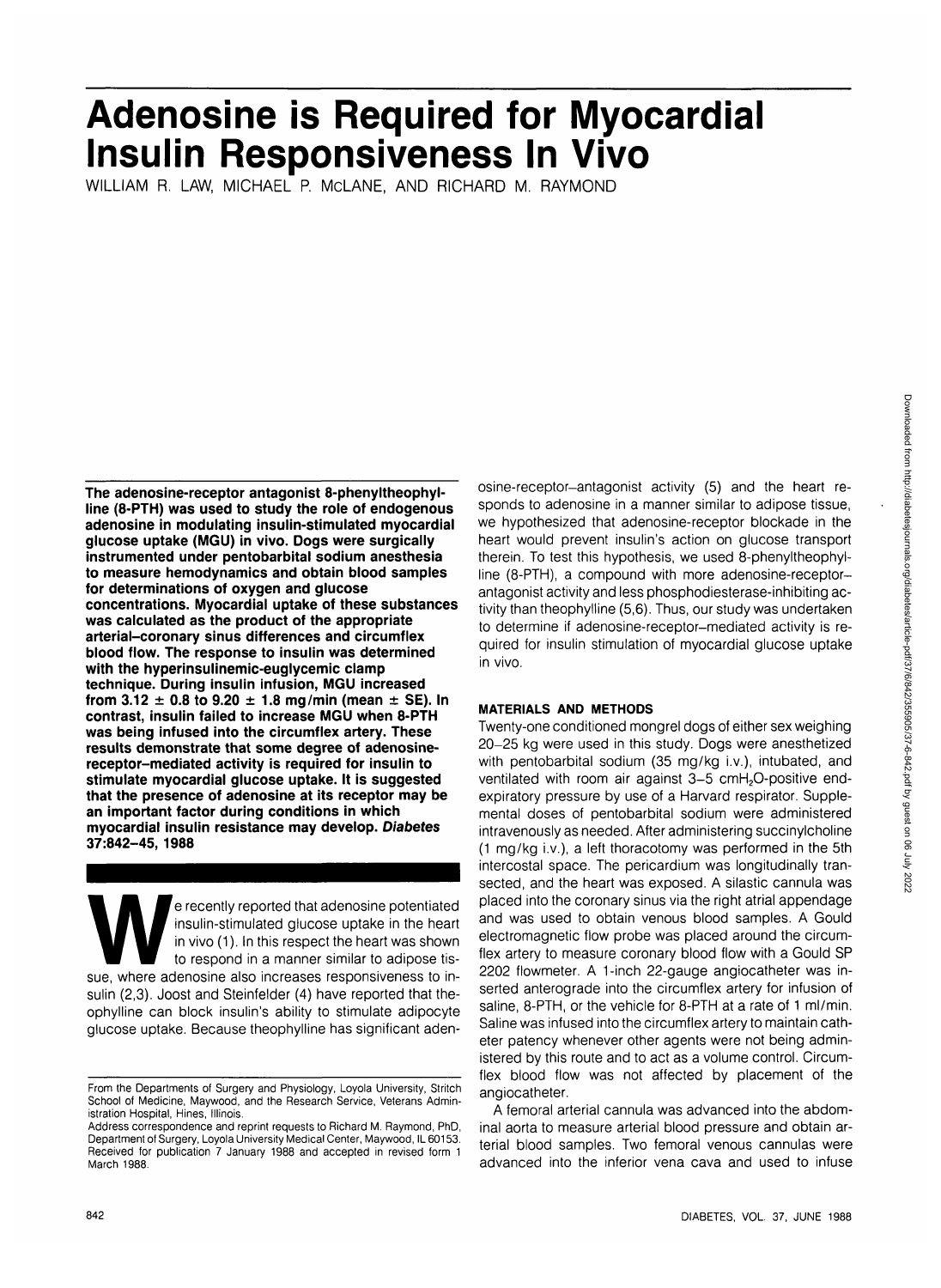# **Adenosine is Required for Myocardial Insulin Responsiveness In Vivo**

WILLIAM R. LAW, MICHAEL P. McLANE, AND RICHARD M. RAYMOND

**The adenosine-receptor antagonist 8-phenyltheophylline (8-PTH) was used to study the role of endogenous adenosine in modulating insulin-stimulated myocardial glucose uptake (MGU) in vivo. Dogs were surgically instrumented under pentobarbital sodium anesthesia to measure hemodynamics and obtain blood samples for determinations of oxygen and glucose concentrations. Myocardial uptake of these substances was calculated as the product of the appropriate arterial-coronary sinus differences and circumflex blood flow. The response to insulin was determined with the hyperinsulinemic-euglycemic clamp technique. During insulin infusion, MGU increased from 3.12 ± 0.8 to 9.20 ± 1.8 mg/min (mean ± SE). In contrast, insulin failed to increase MGU when 8-PTH was being infused into the circumflex artery. These results demonstrate that some degree of adenosinereceptor-mediated activity is required for insulin to stimulate myocardial glucose uptake. It is suggested that the presence of adenosine at its receptor may be an important factor during conditions in which myocardial insulin resistance may develop. Diabetes 37:842-45, 1988**

e recently reported that adenosine potentiated<br>
insulin-stimulated glucose uptake in the heart<br>
in vivo (1). In this respect the heart was shown<br>
to respond in a manner similar to adipose tis-<br>
sue, where adenosine also in insulin-stimulated glucose uptake in the heart in vivo (1). In this respect the heart was shown to respond in a manner similar to adipose tissulin (2,3). Joost and Steinfelder (4) have reported that theophylline can block insulin's ability to stimulate adipocyte glucose uptake. Because theophylline has significant adenosine-receptor-antagonist activity (5) and the heart responds to adenosine in a manner similar to adipose tissue, we hypothesized that adenosine-receptor blockade in the heart would prevent insulin's action on glucose transport therein. To test this hypothesis, we used 8-phenyltheophylline (8-PTH), a compound with more adenosine-receptorantagonist activity and less phosphodiesterase-inhibiting activity than theophylline (5,6). Thus, our study was undertaken to determine if adenosine-receptor-mediated activity is required for insulin stimulation of myocardial glucose uptake in vivo.

## **MATERIALS AND METHODS**

Twenty-one conditioned mongrel dogs of either sex weighing 20-25 kg were used in this study. Dogs were anesthetized with pentobarbital sodium (35 mg/kg i.v.), intubated, and ventilated with room air against 3-5 cmH<sub>2</sub>O-positive endexpiratory pressure by use of a Harvard respirator. Supplemental doses of pentobarbital sodium were administered intravenously as needed. After administering succinylcholine (1 mg/kg i.v.), a left thoracotomy was performed in the 5th intercostal space. The pericardium was longitudinally transected, and the heart was exposed. A silastic cannula was placed into the coronary sinus via the right atrial appendage and was used to obtain venous blood samples. A Gould electromagnetic flow probe was placed around the circumflex artery to measure coronary blood flow with a Gould SP 2202 flowmeter. A 1-inch 22-gauge angiocatheter was inserted anterograde into the circumflex artery for infusion of saline, 8-PTH, or the vehicle for 8-PTH at a rate of 1 ml/min. Saline was infused into the circumflex artery to maintain catheter patency whenever other agents were not being administered by this route and to act as a volume control. Circumflex blood flow was not affected by placement of the angiocatheter.

A femoral arterial cannula was advanced into the abdominal aorta to measure arterial blood pressure and obtain arterial blood samples. Two femoral venous cannulas were advanced into the inferior vena cava and used to infuse

From the Departments of Surgery and Physiology, Loyola University, Stritch School of Medicine, Maywood, and the Research Service, Veterans Administration Hospital, Hines, Illinois.

Address correspondence and reprint requests to Richard M. Raymond, PhD, Department of Surgery, Loyola University Medical Center, Maywood, IL 60153. Received for publication 7 January 1988 and accepted in revised form 1 March 1988.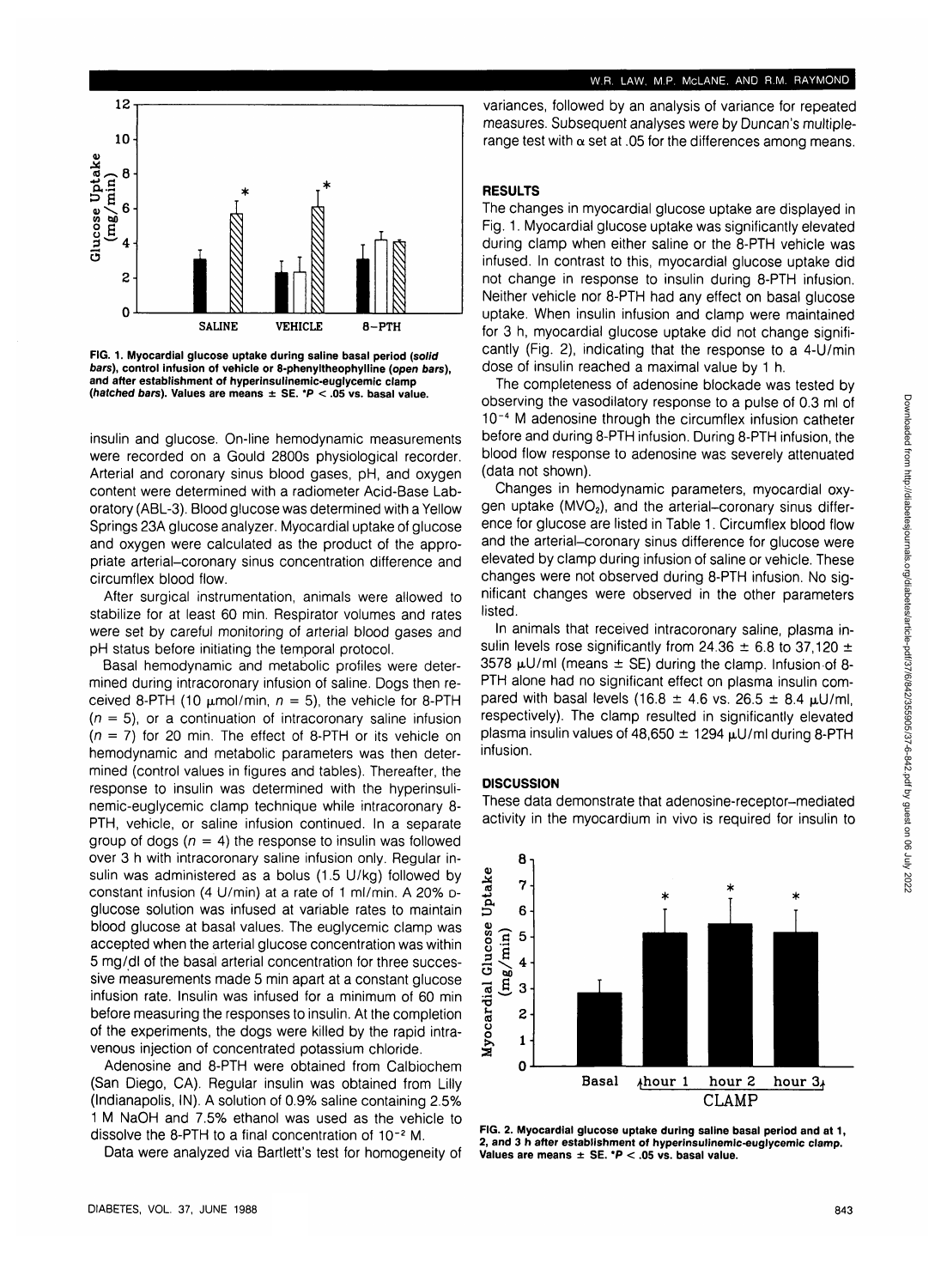## **W.R. LAW. M.P. McLANE. AND R.M. RAYMOND**



**FIG. 1. Myocardial glucose uptake during saline basal period {solid bars), control infusion of vehicle or 8-phenyltheophylline (open bars), and after establishment of hyperinsulinemic-euglycemic clamp (hatched bars). Values are means ± SE. \*P < .05 vs. basal value.**

insulin and glucose. On-line hemodynamic measurements were recorded on a Gould 2800s physiological recorder. Arterial and coronary sinus blood gases, pH, and oxygen content were determined with a radiometer Acid-Base Laboratory (ABL-3). Blood glucose was determined with a Yellow Springs 23A glucose analyzer. Myocardial uptake of glucose and oxygen were calculated as the product of the appropriate arterial-coronary sinus concentration difference and circumflex blood flow.

After surgical instrumentation, animals were allowed to stabilize for at least 60 min. Respirator volumes and rates were set by careful monitoring of arterial blood gases and pH status before initiating the temporal protocol.

Basal hemodynamic and metabolic profiles were determined during intracoronary infusion of saline. Dogs then received 8-PTH (10  $\mu$ mol/min,  $n = 5$ ), the vehicle for 8-PTH  $(n = 5)$ , or a continuation of intracoronary saline infusion  $(n = 7)$  for 20 min. The effect of 8-PTH or its vehicle on hemodynamic and metabolic parameters was then determined (control values in figures and tables). Thereafter, the response to insulin was determined with the hyperinsulinemic-euglycemic clamp technique while intracoronary 8- PTH, vehicle, or saline infusion continued. In a separate group of dogs ( $n = 4$ ) the response to insulin was followed over 3 h with intracoronary saline infusion only. Regular insulin was administered as a bolus (1.5 U/kg) followed by constant infusion (4 U/min) at a rate of 1 ml/min. A 20% Dglucose solution was infused at variable rates to maintain blood glucose at basal values. The euglycemic clamp was accepted when the arterial glucose concentration was within 5 mg/dl of the basal arterial concentration for three successive measurements made 5 min apart at a constant glucose infusion rate. Insulin was infused for a minimum of 60 min before measuring the responses to insulin. At the completion of the experiments, the dogs were killed by the rapid intravenous injection of concentrated potassium chloride.

Adenosine and 8-PTH were obtained from Calbiochem (San Diego, CA). Regular insulin was obtained from Lilly (Indianapolis, IN). A solution of 0.9% saline containing 2.5% 1 M NaOH and 7.5% ethanol was used as the vehicle to dissolve the 8-PTH to a final concentration of 10<sup>-2</sup> M.

Data were analyzed via Bartlett's test for homogeneity of

variances, followed by an analysis of variance for repeated measures. Subsequent analyses were by Duncan's multiplerange test with  $\alpha$  set at .05 for the differences among means.

# **RESULTS**

The changes in myocardial glucose uptake are displayed in Fig. 1. Myocardial glucose uptake was significantly elevated during clamp when either saline or the 8-PTH vehicle was infused. In contrast to this, myocardial glucose uptake did not change in response to insulin during 8-PTH infusion. Neither vehicle nor 8-PTH had any effect on basal glucose uptake. When insulin infusion and clamp were maintained for 3 h, myocardial glucose uptake did not change significantly (Fig. 2), indicating that the response to a 4-U/min dose of insulin reached a maximal value by 1 h.

The completeness of adenosine blockade was tested by observing the vasodilatory response to a pulse of 0.3 ml of 10~4 M adenosine through the circumflex infusion catheter before and during 8-PTH infusion. During 8-PTH infusion, the blood flow response to adenosine was severely attenuated (data not shown).

Changes in hemodynamic parameters, myocardial oxygen uptake  $(MVO<sub>2</sub>)$ , and the arterial-coronary sinus difference for glucose are listed in Table 1. Circumflex blood flow and the arterial-coronary sinus difference for glucose were elevated by clamp during infusion of saline or vehicle. These changes were not observed during 8-PTH infusion. No significant changes were observed in the other parameters listed.

In animals that received intracoronary saline, plasma insulin levels rose significantly from 24.36  $\pm$  6.8 to 37,120  $\pm$ 3578  $\mu$ U/ml (means  $\pm$  SE) during the clamp. Infusion of 8-PTH alone had no significant effect on plasma insulin compared with basal levels (16.8  $\pm$  4.6 vs. 26.5  $\pm$  8.4  $\mu$ U/ml, respectively). The clamp resulted in significantly elevated plasma insulin values of 48,650  $\pm$  1294  $\mu$ U/ml during 8-PTH infusion.

## **DISCUSSION**

These data demonstrate that adenosine-receptor-mediated activity in the myocardium in vivo is required for insulin to



**FIG. 2. Myocardial glucose uptake during saline basal period and at 1, 2, and 3 h after establishment of hyperinsulinemic-euglycemic clamp. Values are means ± SE. \*P < .05 vs. basal value.**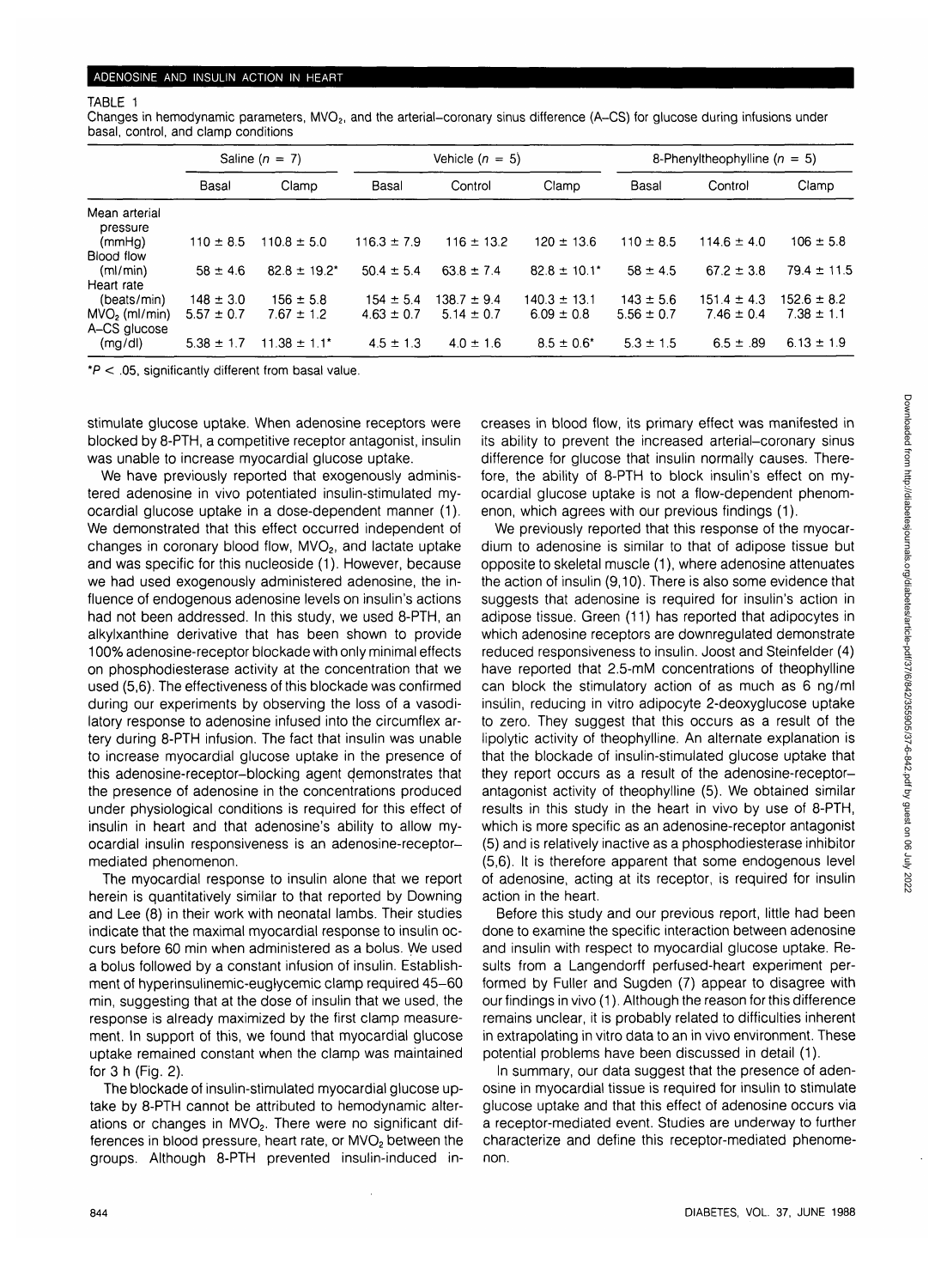#### TABLE 1

Changes in hemodynamic parameters, MVO<sub>2</sub>, and the arterial–coronary sinus difference (A–CS) for glucose during infusions under basal, control, and clamp conditions

|                           | Saline $(n = 7)$ |                   | Vehicle ( $n = 5$ ) |                 |                   | 8-Phenyltheophylline ( $n = 5$ ) |                 |                 |
|---------------------------|------------------|-------------------|---------------------|-----------------|-------------------|----------------------------------|-----------------|-----------------|
|                           | Basal            | Clamp             | Basal               | Control         | Clamp             | Basal                            | Control         | Clamp           |
| Mean arterial<br>pressure |                  |                   |                     |                 |                   |                                  |                 |                 |
| (mmHa)                    | $110 \pm 8.5$    | $110.8 \pm 5.0$   | $116.3 \pm 7.9$     | $116 \pm 13.2$  | $120 \pm 13.6$    | $110 \pm 8.5$                    | $114.6 \pm 4.0$ | $106 \pm 5.8$   |
| Blood flow                |                  |                   |                     |                 |                   |                                  |                 |                 |
| (ml/min)                  | $58 \pm 4.6$     | $82.8 \pm 19.2^*$ | $50.4 \pm 5.4$      | $63.8 \pm 7.4$  | $82.8 \pm 10.1^*$ | $58 \pm 4.5$                     | $67.2 \pm 3.8$  | $79.4 \pm 11.5$ |
| Heart rate                |                  |                   |                     |                 |                   |                                  |                 |                 |
| (beats/min)               | $148 \pm 3.0$    | $156 \pm 5.8$     | $154 \pm 5.4$       | $138.7 \pm 9.4$ | $140.3 \pm 13.1$  | $143 \pm 5.6$                    | $151.4 \pm 4.3$ | $152.6 \pm 8.2$ |
| MVO <sub>2</sub> (ml/min) | $5.57 \pm 0.7$   | $7.67 \pm 1.2$    | $4.63 \pm 0.7$      | $5.14 \pm 0.7$  | $6.09 \pm 0.8$    | $5.56 \pm 0.7$                   | $7.46 \pm 0.4$  | $7.38 \pm 1.1$  |
| A-CS glucose              |                  |                   |                     |                 |                   |                                  |                 |                 |
| (mg/d)                    | $5.38 \pm 1.7$   | $11.38 \pm 1.1^*$ | $4.5 \pm 1.3$       | $4.0 \pm 1.6$   | $8.5 \pm 0.6^*$   | $5.3 \pm 1.5$                    | $6.5 \pm .89$   | $6.13 \pm 1.9$  |

 $*P < .05$ , significantly different from basal value.

stimulate glucose uptake. When adenosine receptors were blocked by8-PTH, a competitive receptor antagonist, insulin was unable to increase myocardial glucose uptake.

We have previously reported that exogenously administered adenosine in vivo potentiated insulin-stimulated myocardial glucose uptake in a dose-dependent manner (1). We demonstrated that this effect occurred independent of changes in coronary blood flow, MVO<sub>2</sub>, and lactate uptake and was specific for this nucleoside (1). However, because we had used exogenously administered adenosine, the influence of endogenous adenosine levels on insulin's actions had not been addressed. In this study, we used 8-PTH, an alkylxanthine derivative that has been shown to provide 100% adenosine-receptor blockade with only minimal effects on phosphodiesterase activity at the concentration that we used (5,6). The effectiveness of this blockade was confirmed during our experiments by observing the loss of a vasodilatory response to adenosine infused into the circumflex artery during 8-PTH infusion. The fact that insulin was unable to increase myocardial glucose uptake in the presence of this adenosine-receptor-blocking agent demonstrates that the presence of adenosine in the concentrations produced under physiological conditions is required for this effect of insulin in heart and that adenosine's ability to allow myocardial insulin responsiveness is an adenosine-receptormediated phenomenon.

The myocardial response to insulin alone that we report herein is quantitatively similar to that reported by Downing and Lee (8) in their work with neonatal lambs. Their studies indicate that the maximal myocardial response to insulin occurs before 60 min when administered as a bolus. We used a bolus followed by a constant infusion of insulin. Establishment of hyperinsulinemic-eugfycemic clamp required 45-60 min, suggesting that at the dose of insulin that we used, the response is already maximized by the first clamp measurement. In support of this, we found that myocardial glucose uptake remained constant when the clamp was maintained for 3 h (Fig. 2).

The blockade of insulin-stimulated myocardial glucose uptake by 8-PTH cannot be attributed to hemodynamic alterations or changes in MVO<sub>2</sub>. There were no significant differences in blood pressure, heart rate, or  $MVO<sub>2</sub>$  between the groups. Although 8-PTH prevented insulin-induced increases in blood flow, its primary effect was manifested in its ability to prevent the increased arterial-coronary sinus difference for glucose that insulin normally causes. Therefore, the ability of 8-PTH to block insulin's effect on myocardial glucose uptake is not a flow-dependent phenomenon, which agrees with our previous findings (1).

We previously reported that this response of the myocardium to adenosine is similar to that of adipose tissue but opposite to skeletal muscle (1), where adenosine attenuates the action of insulin (9,10). There is also some evidence that suggests that adenosine is required for insulin's action in adipose tissue. Green (11) has reported that adipocytes in which adenosine receptors are downregulated demonstrate reduced responsiveness to insulin. Joost and Steinfelder (4) have reported that 2.5-mM concentrations of theophylline can block the stimulatory action of as much as 6 ng/ml insulin, reducing in vitro adipocyte 2-deoxyglucose uptake to zero. They suggest that this occurs as a result of the lipolytic activity of theophylline. An alternate explanation is that the blockade of insulin-stimulated glucose uptake that they report occurs as a result of the adenosine-receptorantagonist activity of theophylline (5). We obtained similar results in this study in the heart in vivo by use of 8-PTH, which is more specific as an adenosine-receptor antagonist (5) and is relatively inactive as a phosphodiesterase inhibitor (5,6). It is therefore apparent that some endogenous level of adenosine, acting at its receptor, is required for insulin action in the heart.

Before this study and our previous report, little had been done to examine the specific interaction between adenosine and insulin with respect to myocardial glucose uptake. Results from a Langendorff perfused-heart experiment performed by Fuller and Sugden (7) appear to disagree with our findings in vivo (1). Although the reason for this difference remains unclear, it is probably related to difficulties inherent in extrapolating in vitro data to an in vivo environment. These potential problems have been discussed in detail (1).

In summary, our data suggest that the presence of adenosine in myocardial tissue is required for insulin to stimulate glucose uptake and that this effect of adenosine occurs via a receptor-mediated event. Studies are underway to further characterize and define this receptor-mediated phenomenon.